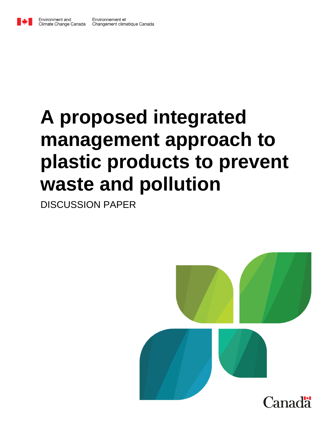

# **A proposed integrated management approach to plastic products to prevent waste and pollution**

DISCUSSION PAPER

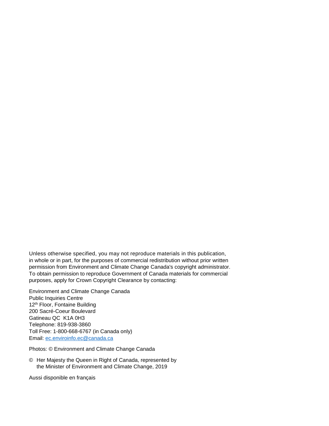Unless otherwise specified, you may not reproduce materials in this publication, in whole or in part, for the purposes of commercial redistribution without prior written permission from Environment and Climate Change Canada's copyright administrator. To obtain permission to reproduce Government of Canada materials for commercial purposes, apply for Crown Copyright Clearance by contacting:

Environment and Climate Change Canada Public Inquiries Centre 12<sup>th</sup> Floor, Fontaine Building 200 Sacré-Coeur Boulevard Gatineau QC K1A 0H3 Telephone: 819-938-3860 Toll Free: 1-800-668-6767 (in Canada only) Email: [ec.enviroinfo.ec@canada.ca](mailto:ec.enviroinfo.ec@canada.ca)

Photos: © Environment and Climate Change Canada

© Her Majesty the Queen in Right of Canada, represented by the Minister of Environment and Climate Change, 2019

Aussi disponible en français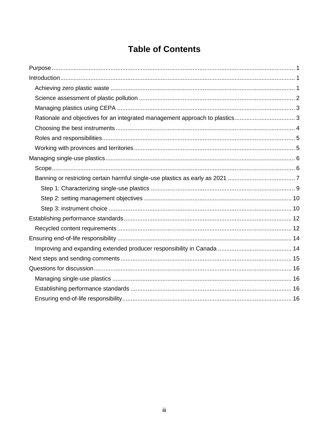## **Table of Contents**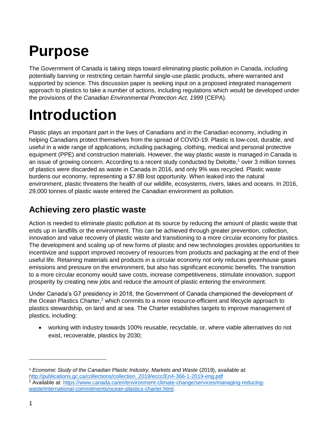## <span id="page-3-0"></span>**Purpose**

The Government of Canada is taking steps toward eliminating plastic pollution in Canada, including potentially banning or restricting certain harmful single-use plastic products, where warranted and supported by science. This discussion paper is seeking input on a proposed integrated management approach to plastics to take a number of actions, including regulations which would be developed under the provisions of the *Canadian Environmental Protection Act, 1999* (CEPA).

## <span id="page-3-1"></span>**Introduction**

Plastic plays an important part in the lives of Canadians and in the Canadian economy, including in helping Canadians protect themselves from the spread of COVID-19. Plastic is low-cost, durable, and useful in a wide range of applications, including packaging, clothing, medical and personal protective equipment (PPE) and construction materials. However, the way plastic waste is managed in Canada is an issue of growing concern. According to a recent study conducted by Deloitte,<sup>1</sup> over 3 million tonnes of plastics were discarded as waste in Canada in 2016, and only 9% was recycled. Plastic waste burdens our economy, representing a \$7.8B lost opportunity. When leaked into the natural environment, plastic threatens the health of our wildlife, ecosystems, rivers, lakes and oceans. In 2016, 29,000 tonnes of plastic waste entered the Canadian environment as pollution.

### <span id="page-3-2"></span>**Achieving zero plastic waste**

Action is needed to eliminate plastic pollution at its source by reducing the amount of plastic waste that ends up in landfills or the environment. This can be achieved through greater prevention, collection, innovation and value recovery of plastic waste and transitioning to a more circular economy for plastics. The development and scaling up of new forms of plastic and new technologies provides opportunities to incentivize and support improved recovery of resources from products and packaging at the end of their useful life. Retaining materials and products in a circular economy not only reduces greenhouse gases emissions and pressure on the environment, but also has significant economic benefits. The transition to a more circular economy would save costs, increase competitiveness, stimulate innovation, support prosperity by creating new jobs and reduce the amount of plastic entering the environment.

Under Canada's G7 presidency in 2018, the Government of Canada championed the development of the Ocean Plastics Charter, $2$  which commits to a more resource-efficient and lifecycle approach to plastics stewardship, on land and at sea. The Charter establishes targets to improve management of plastics, including:

 working with industry towards 100% reusable, recyclable, or, where viable alternatives do not exist, recoverable, plastics by 2030;

<sup>&</sup>lt;sup>1</sup> Economic Study of the Canadian Plastic Industry, Markets and Waste (2019), available at: [http://publications.gc.ca/collections/collection\\_2019/eccc/En4-366-1-2019-eng.pdf](http://publications.gc.ca/collections/collection_2019/eccc/En4-366-1-2019-eng.pdf)

<sup>2</sup> Available at: [https://www.canada.ca/en/environment-climate-change/services/managing-reducing](https://www.canada.ca/en/environment-climate-change/services/managing-reducing-waste/international-commitments/ocean-plastics-charter.html)[waste/international-commitments/ocean-plastics-charter.html.](https://www.canada.ca/en/environment-climate-change/services/managing-reducing-waste/international-commitments/ocean-plastics-charter.html)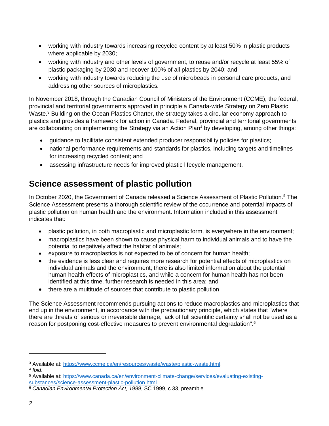- working with industry towards increasing recycled content by at least 50% in plastic products where applicable by 2030;
- working with industry and other levels of government, to reuse and/or recycle at least 55% of plastic packaging by 2030 and recover 100% of all plastics by 2040; and
- working with industry towards reducing the use of microbeads in personal care products, and addressing other sources of microplastics.

In November 2018, through the Canadian Council of Ministers of the Environment (CCME), the federal, provincial and territorial governments approved in principle a Canada-wide Strategy on Zero Plastic Waste.<sup>3</sup> Building on the Ocean Plastics Charter, the strategy takes a circular economy approach to plastics and provides a framework for action in Canada. Federal, provincial and territorial governments are collaborating on implementing the Strategy via an Action Plan<sup>4</sup> by developing, among other things:

- guidance to facilitate consistent extended producer responsibility policies for plastics;
- national performance requirements and standards for plastics, including targets and timelines for increasing recycled content; and
- assessing infrastructure needs for improved plastic lifecycle management.

## <span id="page-4-0"></span>**Science assessment of plastic pollution**

In October 2020, the Government of Canada released a Science Assessment of Plastic Pollution.<sup>5</sup> The Science Assessment presents a thorough scientific review of the occurrence and potential impacts of plastic pollution on human health and the environment. Information included in this assessment indicates that:

- plastic pollution, in both macroplastic and microplastic form, is everywhere in the environment;
- macroplastics have been shown to cause physical harm to individual animals and to have the potential to negatively affect the habitat of animals;
- exposure to macroplastics is not expected to be of concern for human health;
- the evidence is less clear and requires more research for potential effects of microplastics on individual animals and the environment; there is also limited information about the potential human health effects of microplastics, and while a concern for human health has not been identified at this time, further research is needed in this area; and
- there are a multitude of sources that contribute to plastic pollution

The Science Assessment recommends pursuing actions to reduce macroplastics and microplastics that end up in the environment, in accordance with the precautionary principle, which states that "where there are threats of serious or irreversible damage, lack of full scientific certainty shall not be used as a reason for postponing cost-effective measures to prevent environmental degradation".<sup>6</sup>

4 *Ibid*.

<sup>3</sup> Available at: [https://www.ccme.ca/en/resources/waste/waste/plastic-waste.html.](https://www.ccme.ca/en/resources/waste/waste/plastic-waste.html)

<sup>5</sup> Available at: [https://www.canada.ca/en/environment-climate-change/services/evaluating-existing-](https://www.canada.ca/en/environment-climate-change/services/evaluating-existing-substances/science-assessment-plastic-pollution.html)

[substances/science-assessment-plastic-pollution.html](https://www.canada.ca/en/environment-climate-change/services/evaluating-existing-substances/science-assessment-plastic-pollution.html)

<sup>&</sup>lt;sup>6</sup> Canadian Environmental Protection Act, 1999, SC 1999, c 33, preamble.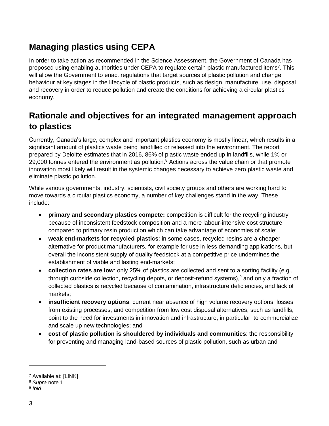## <span id="page-5-0"></span>**Managing plastics using CEPA**

In order to take action as recommended in the Science Assessment, the Government of Canada has proposed using enabling authorities under CEPA to regulate certain plastic manufactured items<sup>7</sup>. This will allow the Government to enact regulations that target sources of plastic pollution and change behaviour at key stages in the lifecycle of plastic products, such as design, manufacture, use, disposal and recovery in order to reduce pollution and create the conditions for achieving a circular plastics economy.

## <span id="page-5-1"></span>**Rationale and objectives for an integrated management approach to plastics**

Currently, Canada's large, complex and important plastics economy is mostly linear, which results in a significant amount of plastics waste being landfilled or released into the environment. The report prepared by Deloitte estimates that in 2016, 86% of plastic waste ended up in landfills, while 1% or 29,000 tonnes entered the environment as pollution.<sup>8</sup> Actions across the value chain or that promote innovation most likely will result in the systemic changes necessary to achieve zero plastic waste and eliminate plastic pollution.

While various governments, industry, scientists, civil society groups and others are working hard to move towards a circular plastics economy, a number of key challenges stand in the way. These include:

- **•** primary and secondary plastics compete: competition is difficult for the recycling industry because of inconsistent feedstock composition and a more labour-intensive cost structure compared to primary resin production which can take advantage of economies of scale;
- **weak end-markets for recycled plastics**: in some cases, recycled resins are a cheaper alternative for product manufacturers, for example for use in less demanding applications, but overall the inconsistent supply of quality feedstock at a competitive price undermines the establishment of viable and lasting end-markets;
- **collection rates are low**: only 25% of plastics are collected and sent to a sorting facility (e.g., through curbside collection, recycling depots, or deposit-refund systems), $9$  and only a fraction of collected plastics is recycled because of contamination, infrastructure deficiencies, and lack of markets;
- **insufficient recovery options**: current near absence of high volume recovery options, losses from existing processes, and competition from low cost disposal alternatives, such as landfills, point to the need for investments in innovation and infrastructure, in particular to commercialize and scale up new technologies; and
- **cost of plastic pollution is shouldered by individuals and communities**: the responsibility for preventing and managing land-based sources of plastic pollution, such as urban and

 $\overline{a}$ 

<sup>7</sup> Available at: [LINK]

<sup>8</sup> *Supra* note 1.

<sup>9</sup> *Ibid*.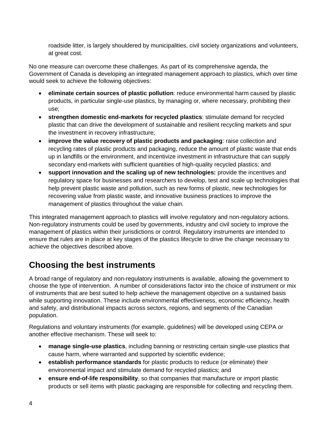roadside litter, is largely shouldered by municipalities, civil society organizations and volunteers, at great cost.

No one measure can overcome these challenges. As part of its comprehensive agenda, the Government of Canada is developing an integrated management approach to plastics, which over time would seek to achieve the following objectives:

- **eliminate certain sources of plastic pollution**: reduce environmental harm caused by plastic products, in particular single-use plastics, by managing or, where necessary, prohibiting their use;
- **strengthen domestic end-markets for recycled plastics**: stimulate demand for recycled plastic that can drive the development of sustainable and resilient recycling markets and spur the investment in recovery infrastructure;
- **improve the value recovery of plastic products and packaging**: raise collection and recycling rates of plastic products and packaging, reduce the amount of plastic waste that ends up in landfills or the environment, and incentivize investment in infrastructure that can supply secondary end-markets with sufficient quantities of high-quality recycled plastics; and
- **support innovation and the scaling up of new technologies:** provide the incentives and regulatory space for businesses and researchers to develop, test and scale up technologies that help prevent plastic waste and pollution, such as new forms of plastic, new technologies for recovering value from plastic waste, and innovative business practices to improve the management of plastics throughout the value chain.

This integrated management approach to plastics will involve regulatory and non-regulatory actions. Non-regulatory instruments could be used by governments, industry and civil society to improve the management of plastics within their jurisdictions or control. Regulatory instruments are intended to ensure that rules are in place at key stages of the plastics lifecycle to drive the change necessary to achieve the objectives described above.

## <span id="page-6-0"></span>**Choosing the best instruments**

A broad range of regulatory and non-regulatory instruments is available, allowing the government to choose the type of intervention. A number of considerations factor into the choice of instrument or mix of instruments that are best suited to help achieve the management objective on a sustained basis while supporting innovation. These include environmental effectiveness, economic efficiency, health and safety, and distributional impacts across sectors, regions, and segments of the Canadian population.

Regulations and voluntary instruments (for example, guidelines) will be developed using CEPA or another effective mechanism. These will seek to:

- **manage single-use plastics**, including banning or restricting certain single-use plastics that cause harm, where warranted and supported by scientific evidence;
- **establish performance standards** for plastic products to reduce (or eliminate) their environmental impact and stimulate demand for recycled plastics; and
- **ensure end-of-life responsibility**, so that companies that manufacture or import plastic products or sell items with plastic packaging are responsible for collecting and recycling them.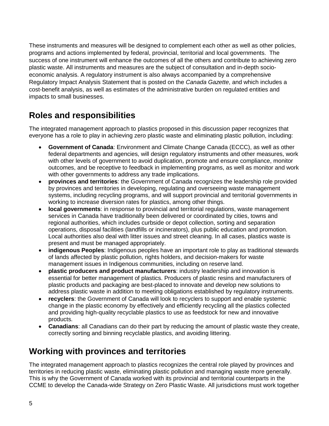These instruments and measures will be designed to complement each other as well as other policies, programs and actions implemented by federal, provincial, territorial and local governments. The success of one instrument will enhance the outcomes of all the others and contribute to achieving zero plastic waste. All instruments and measures are the subject of consultation and in-depth socioeconomic analysis. A regulatory instrument is also always accompanied by a comprehensive Regulatory Impact Analysis Statement that is posted on the *Canada Gazette*, and which includes a cost-benefit analysis, as well as estimates of the administrative burden on regulated entities and impacts to small businesses.

### <span id="page-7-0"></span>**Roles and responsibilities**

The integrated management approach to plastics proposed in this discussion paper recognizes that everyone has a role to play in achieving zero plastic waste and eliminating plastic pollution, including:

- **Government of Canada**: Environment and Climate Change Canada (ECCC), as well as other federal departments and agencies, will design regulatory instruments and other measures, work with other levels of government to avoid duplication, promote and ensure compliance, monitor outcomes, and be receptive to feedback in implementing programs, as well as monitor and work with other governments to address any trade implications.
- **provinces and territories**: the Government of Canada recognizes the leadership role provided by provinces and territories in developing, regulating and overseeing waste management systems, including recycling programs, and will support provincial and territorial governments in working to increase diversion rates for plastics, among other things.
- **local governments**: in response to provincial and territorial regulations, waste management services in Canada have traditionally been delivered or coordinated by cities, towns and regional authorities, which includes curbside or depot collection, sorting and separation operations, disposal facilities (landfills or incinerators), plus public education and promotion. Local authorities also deal with litter issues and street cleaning. In all cases, plastics waste is present and must be managed appropriately.
- **indigenous Peoples**: Indigenous peoples have an important role to play as traditional stewards of lands affected by plastic pollution, rights holders, and decision-makers for waste management issues in Indigenous communities, including on reserve land.
- **plastic producers and product manufacturers**: industry leadership and innovation is essential for better management of plastics. Producers of plastic resins and manufacturers of plastic products and packaging are best-placed to innovate and develop new solutions to address plastic waste in addition to meeting obligations established by regulatory instruments.
- **recyclers**: the Government of Canada will look to recyclers to support and enable systemic change in the plastic economy by effectively and efficiently recycling all the plastics collected and providing high-quality recyclable plastics to use as feedstock for new and innovative products.
- **Canadians**: all Canadians can do their part by reducing the amount of plastic waste they create, correctly sorting and binning recyclable plastics, and avoiding littering.

### <span id="page-7-1"></span>**Working with provinces and territories**

The integrated management approach to plastics recognizes the central role played by provinces and territories in reducing plastic waste, eliminating plastic pollution and managing waste more generally. This is why the Government of Canada worked with its provincial and territorial counterparts in the CCME to develop the Canada-wide Strategy on Zero Plastic Waste. All jurisdictions must work together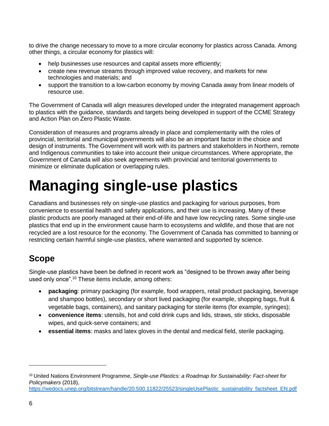to drive the change necessary to move to a more circular economy for plastics across Canada. Among other things, a circular economy for plastics will:

- help businesses use resources and capital assets more efficiently;
- create new revenue streams through improved value recovery, and markets for new technologies and materials; and
- support the transition to a low-carbon economy by moving Canada away from linear models of resource use.

The Government of Canada will align measures developed under the integrated management approach to plastics with the guidance, standards and targets being developed in support of the CCME Strategy and Action Plan on Zero Plastic Waste.

Consideration of measures and programs already in place and complementarity with the roles of provincial, territorial and municipal governments will also be an important factor in the choice and design of instruments. The Government will work with its partners and stakeholders in Northern, remote and Indigenous communities to take into account their unique circumstances. Where appropriate, the Government of Canada will also seek agreements with provincial and territorial governments to minimize or eliminate duplication or overlapping rules.

## <span id="page-8-0"></span>**Managing single-use plastics**

Canadians and businesses rely on single-use plastics and packaging for various purposes, from convenience to essential health and safety applications, and their use is increasing. Many of these plastic products are poorly managed at their end-of-life and have low recycling rates. Some single-use plastics that end up in the environment cause harm to ecosystems and wildlife, and those that are not recycled are a lost resource for the economy. The Government of Canada has committed to banning or restricting certain harmful single-use plastics, where warranted and supported by science.

### <span id="page-8-1"></span>**Scope**

Single-use plastics have been be defined in recent work as "designed to be thrown away after being used only once".<sup>10</sup> These items include, among others:

- **packaging**: primary packaging (for example, food wrappers, retail product packaging, beverage and shampoo bottles), secondary or short lived packaging (for example, shopping bags, fruit & vegetable bags, containers), and sanitary packaging for sterile items (for example, syringes);
- **convenience items**: utensils, hot and cold drink cups and lids, straws, stir sticks, disposable wipes, and quick-serve containers; and
- **essential items**: masks and latex gloves in the dental and medical field, sterile packaging.

 $\overline{a}$ 

<sup>10</sup> United Nations Environment Programme, *Single-use Plastics: a Roadmap for Sustainability: Fact-sheet for Policymakers* (2018),

[https://wedocs.unep.org/bitstream/handle/20.500.11822/25523/singleUsePlastic\\_sustainability\\_factsheet\\_EN.pdf](https://wedocs.unep.org/bitstream/handle/20.500.11822/25523/singleUsePlastic_sustainability_factsheet_EN.pdf)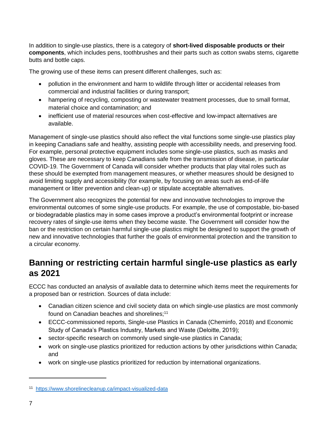In addition to single-use plastics, there is a category of **short-lived disposable products or their components**, which includes pens, toothbrushes and their parts such as cotton swabs stems, cigarette butts and bottle caps.

The growing use of these items can present different challenges, such as:

- pollution in the environment and harm to wildlife through litter or accidental releases from commercial and industrial facilities or during transport;
- hampering of recycling, composting or wastewater treatment processes, due to small format, material choice and contamination; and
- inefficient use of material resources when cost-effective and low-impact alternatives are available.

Management of single-use plastics should also reflect the vital functions some single-use plastics play in keeping Canadians safe and healthy, assisting people with accessibility needs, and preserving food. For example, personal protective equipment includes some single-use plastics, such as masks and gloves. These are necessary to keep Canadians safe from the transmission of disease, in particular COVID-19. The Government of Canada will consider whether products that play vital roles such as these should be exempted from management measures, or whether measures should be designed to avoid limiting supply and accessibility (for example, by focusing on areas such as end-of-life management or litter prevention and clean-up) or stipulate acceptable alternatives.

The Government also recognizes the potential for new and innovative technologies to improve the environmental outcomes of some single-use products. For example, the use of compostable, bio-based or biodegradable plastics may in some cases improve a product's environmental footprint or increase recovery rates of single-use items when they become waste. The Government will consider how the ban or the restriction on certain harmful single-use plastics might be designed to support the growth of new and innovative technologies that further the goals of environmental protection and the transition to a circular economy.

### <span id="page-9-0"></span>**Banning or restricting certain harmful single-use plastics as early as 2021**

ECCC has conducted an analysis of available data to determine which items meet the requirements for a proposed ban or restriction. Sources of data include:

- Canadian citizen science and civil society data on which single-use plastics are most commonly found on Canadian beaches and shorelines;<sup>11</sup>
- ECCC-commissioned reports, Single-use Plastics in Canada (Cheminfo, 2018) and Economic Study of Canada's Plastics Industry, Markets and Waste (Deloitte, 2019);
- sector-specific research on commonly used single-use plastics in Canada;
- work on single-use plastics prioritized for reduction actions by other jurisdictions within Canada; and
- work on single-use plastics prioritized for reduction by international organizations.

<sup>11</sup> <https://www.shorelinecleanup.ca/impact-visualized-data>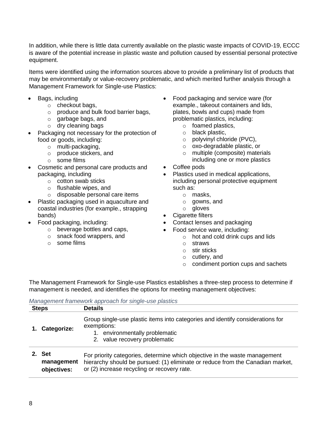In addition, while there is little data currently available on the plastic waste impacts of COVID-19, ECCC is aware of the potential increase in plastic waste and pollution caused by essential personal protective equipment.

Items were identified using the information sources above to provide a preliminary list of products that may be environmentally or value-recovery problematic, and which merited further analysis through a Management Framework for Single-use Plastics:

- Bags, including
	- o checkout bags,
	- o produce and bulk food barrier bags,
	- o garbage bags, and
	- o dry cleaning bags
- Packaging not necessary for the protection of food or goods, including:
	- o multi-packaging,
	- o produce stickers, and
	- o some films
- Cosmetic and personal care products and packaging, including
	- o cotton swab sticks
	- o flushable wipes, and
	- o disposable personal care items
- Plastic packaging used in aquaculture and coastal industries (for example., strapping bands)
- Food packaging, including:
	- o beverage bottles and caps,
	- o snack food wrappers, and
	- o some films
- Food packaging and service ware (for example., takeout containers and lids, plates, bowls and cups) made from problematic plastics, including:
	- o foamed plastics,
	- o black plastic,
	- o polyvinyl chloride (PVC),
	- o oxo-degradable plastic, or
	- o multiple (composite) materials including one or more plastics
- Coffee pods
- Plastics used in medical applications, including personal protective equipment
	- such as: o masks,
		- o gowns, and
		- o gloves
- Cigarette filters
- Contact lenses and packaging
- - Food service ware, including:
		- o hot and cold drink cups and lids
		- o straws
		- o stir sticks
		- o cutlery, and
		- o condiment portion cups and sachets

The Management Framework for Single-use Plastics establishes a three-step process to determine if management is needed, and identifies the options for meeting management objectives:

|  | Management framework approach for single-use plastics |  |
|--|-------------------------------------------------------|--|
|  |                                                       |  |

| <b>Steps</b> |                                         | <b>Details</b>                                                                                                                                                                                              |  |  |  |  |
|--------------|-----------------------------------------|-------------------------------------------------------------------------------------------------------------------------------------------------------------------------------------------------------------|--|--|--|--|
|              | Categorize:                             | Group single-use plastic items into categories and identify considerations for<br>exemptions:<br>1. environmentally problematic<br>2. value recovery problematic                                            |  |  |  |  |
| $2_{-}$      | <b>Set</b><br>management<br>objectives: | For priority categories, determine which objective in the waste management<br>hierarchy should be pursued: (1) eliminate or reduce from the Canadian market,<br>or (2) increase recycling or recovery rate. |  |  |  |  |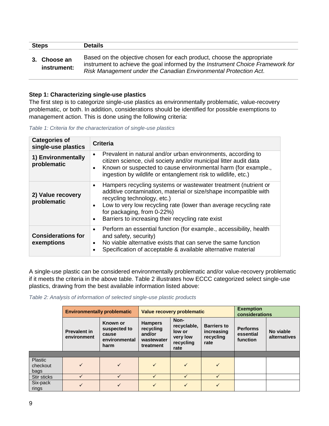| <b>Steps</b> |                             | <b>Details</b>                                                                                                                                                                                                               |  |  |  |
|--------------|-----------------------------|------------------------------------------------------------------------------------------------------------------------------------------------------------------------------------------------------------------------------|--|--|--|
|              | 3. Choose an<br>instrument: | Based on the objective chosen for each product, choose the appropriate<br>instrument to achieve the goal informed by the Instrument Choice Framework for<br>Risk Management under the Canadian Environmental Protection Act. |  |  |  |

#### <span id="page-11-0"></span>**Step 1: Characterizing single-use plastics**

The first step is to categorize single-use plastics as environmentally problematic, value-recovery problematic, or both. In addition, considerations should be identified for possible exemptions to management action. This is done using the following criteria:

*Table 1: Criteria for the characterization of single-use plastics*

| <b>Categories of</b><br>single-use plastics | <b>Criteria</b>                                                                                                                                                                                                                                                                                                                                                  |
|---------------------------------------------|------------------------------------------------------------------------------------------------------------------------------------------------------------------------------------------------------------------------------------------------------------------------------------------------------------------------------------------------------------------|
| 1) Environmentally<br>problematic           | Prevalent in natural and/or urban environments, according to<br>$\bullet$<br>citizen science, civil society and/or municipal litter audit data<br>Known or suspected to cause environmental harm (for example.,<br>$\bullet$<br>ingestion by wildlife or entanglement risk to wildlife, etc.)                                                                    |
| 2) Value recovery<br>problematic            | Hampers recycling systems or wastewater treatment (nutrient or<br>$\bullet$<br>additive contamination, material or size/shape incompatible with<br>recycling technology, etc.)<br>Low to very low recycling rate (lower than average recycling rate<br>$\bullet$<br>for packaging, from 0-22%)<br>Barriers to increasing their recycling rate exist<br>$\bullet$ |
| <b>Considerations for</b><br>exemptions     | Perform an essential function (for example., accessibility, health<br>$\bullet$<br>and safety, security)<br>No viable alternative exists that can serve the same function<br>$\bullet$<br>Specification of acceptable & available alternative material<br>$\bullet$                                                                                              |

A single-use plastic can be considered environmentally problematic and/or value-recovery problematic if it meets the criteria in the above table. Table 2 illustrates how ECCC categorized select single-use plastics, drawing from the best available information listed above:

*Table 2: Analysis of information of selected single-use plastic products*

|                             | <b>Environmentally problematic</b> |                                                                   | Value recovery problematic                                       |                                                                |                                                       | <b>Exemption</b><br>considerations       |                           |
|-----------------------------|------------------------------------|-------------------------------------------------------------------|------------------------------------------------------------------|----------------------------------------------------------------|-------------------------------------------------------|------------------------------------------|---------------------------|
|                             | <b>Prevalent in</b><br>environment | <b>Known or</b><br>suspected to<br>cause<br>environmental<br>harm | <b>Hampers</b><br>recycling<br>and/or<br>wastewater<br>treatment | Non-<br>recyclable,<br>low or<br>very low<br>recycling<br>rate | <b>Barriers to</b><br>increasing<br>recycling<br>rate | <b>Performs</b><br>essential<br>function | No viable<br>alternatives |
|                             |                                    |                                                                   |                                                                  |                                                                |                                                       |                                          |                           |
| Plastic<br>checkout<br>bags | $\checkmark$                       | $\checkmark$                                                      | ✓                                                                | $\checkmark$                                                   | $\checkmark$                                          |                                          |                           |
| Stir sticks                 |                                    | ✓                                                                 |                                                                  |                                                                |                                                       |                                          |                           |
| Six-pack<br>rings           |                                    | ✓                                                                 | $\checkmark$                                                     | $\sqrt{}$                                                      | $\checkmark$                                          |                                          |                           |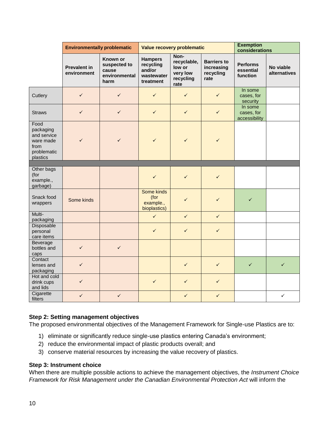|                                                                                  | <b>Environmentally problematic</b> |                                                            | Value recovery problematic                                       |                                                                |                                                       | <b>Exemption</b><br>considerations       |                           |
|----------------------------------------------------------------------------------|------------------------------------|------------------------------------------------------------|------------------------------------------------------------------|----------------------------------------------------------------|-------------------------------------------------------|------------------------------------------|---------------------------|
|                                                                                  | <b>Prevalent in</b><br>environment | Known or<br>suspected to<br>cause<br>environmental<br>harm | <b>Hampers</b><br>recycling<br>and/or<br>wastewater<br>treatment | Non-<br>recyclable,<br>low or<br>very low<br>recycling<br>rate | <b>Barriers to</b><br>increasing<br>recycling<br>rate | <b>Performs</b><br>essential<br>function | No viable<br>alternatives |
| Cutlery                                                                          | $\checkmark$                       | $\checkmark$                                               | $\checkmark$                                                     | $\checkmark$                                                   | $\checkmark$                                          | In some<br>cases, for<br>security        |                           |
| <b>Straws</b>                                                                    | $\checkmark$                       | $\checkmark$                                               | $\checkmark$                                                     | $\checkmark$                                                   | $\checkmark$                                          | In some<br>cases, for<br>accessibility   |                           |
| Food<br>packaging<br>and service<br>ware made<br>from<br>problematic<br>plastics | ✓                                  | ✓                                                          | $\checkmark$                                                     | $\checkmark$                                                   | $\checkmark$                                          |                                          |                           |
|                                                                                  |                                    |                                                            |                                                                  |                                                                |                                                       |                                          |                           |
| Other bags<br>(for<br>example.,<br>garbage)                                      |                                    |                                                            | $\checkmark$                                                     | $\checkmark$                                                   | $\checkmark$                                          |                                          |                           |
| Snack food<br>wrappers                                                           | Some kinds                         |                                                            | Some kinds<br>(for<br>example.,<br>bioplastics)                  | $\checkmark$                                                   | $\checkmark$                                          | $\checkmark$                             |                           |
| Multi-<br>packaging                                                              |                                    |                                                            | $\checkmark$                                                     | $\checkmark$                                                   | $\checkmark$                                          |                                          |                           |
| Disposable<br>personal<br>care items                                             |                                    |                                                            | $\checkmark$                                                     | $\checkmark$                                                   | $\checkmark$                                          |                                          |                           |
| Beverage<br>bottles and<br>caps                                                  | $\checkmark$                       | $\checkmark$                                               |                                                                  |                                                                |                                                       |                                          |                           |
| Contact<br>lenses and<br>packaging                                               | $\checkmark$                       |                                                            |                                                                  | $\checkmark$                                                   | $\checkmark$                                          | $\checkmark$                             | $\checkmark$              |
| Hot and cold<br>drink cups<br>and lids                                           | $\checkmark$                       |                                                            | $\checkmark$                                                     | $\checkmark$                                                   | $\checkmark$                                          |                                          |                           |
| Cigarette<br>filters                                                             | $\checkmark$                       | $\checkmark$                                               |                                                                  | $\checkmark$                                                   | $\checkmark$                                          |                                          | $\checkmark$              |

#### <span id="page-12-0"></span>**Step 2: Setting management objectives**

The proposed environmental objectives of the Management Framework for Single-use Plastics are to:

- 1) eliminate or significantly reduce single-use plastics entering Canada's environment;
- 2) reduce the environmental impact of plastic products overall; and
- 3) conserve material resources by increasing the value recovery of plastics.

#### <span id="page-12-1"></span>**Step 3: Instrument choice**

When there are multiple possible actions to achieve the management objectives, the *Instrument Choice Framework for Risk Management under the Canadian Environmental Protection Act* will inform the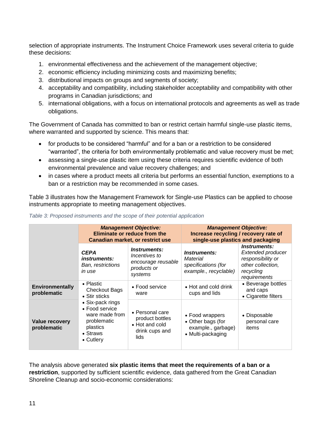selection of appropriate instruments. The Instrument Choice Framework uses several criteria to guide these decisions:

- 1. environmental effectiveness and the achievement of the management objective;
- 2. economic efficiency including minimizing costs and maximizing benefits;
- 3. distributional impacts on groups and segments of society;
- 4. acceptability and compatibility, including stakeholder acceptability and compatibility with other programs in Canadian jurisdictions; and
- 5. international obligations, with a focus on international protocols and agreements as well as trade obligations.

The Government of Canada has committed to ban or restrict certain harmful single-use plastic items, where warranted and supported by science. This means that:

- for products to be considered "harmful" and for a ban or a restriction to be considered "warranted", the criteria for both environmentally problematic and value recovery must be met;
- assessing a single-use plastic item using these criteria requires scientific evidence of both environmental prevalence and value recovery challenges; and
- in cases where a product meets all criteria but performs an essential function, exemptions to a ban or a restriction may be recommended in some cases.

Table 3 illustrates how the Management Framework for Single-use Plastics can be applied to choose instruments appropriate to meeting management objectives.

|                                       |                                                                                                                  | <b>Management Objective:</b><br>Eliminate or reduce from the<br>Canadian market, or restrict use | <b>Management Objective:</b><br>Increase recycling / recovery rate of<br>single-use plastics and packaging |                                                                                                          |  |
|---------------------------------------|------------------------------------------------------------------------------------------------------------------|--------------------------------------------------------------------------------------------------|------------------------------------------------------------------------------------------------------------|----------------------------------------------------------------------------------------------------------|--|
|                                       | <b>CEPA</b><br><i>instruments:</i><br><b>Ban, restrictions</b><br>in use                                         | Instruments:<br>Incentives to<br>encourage reusable<br>products or<br>systems                    | Instruments:<br>Material<br>specifications (for<br>example., recyclable)                                   | Instruments:<br>Extended producer<br>responsibility or<br>other collection,<br>recycling<br>requirements |  |
| <b>Environmentally</b><br>problematic | • Plastic<br><b>Checkout Bags</b><br>• Stir sticks                                                               | • Food service<br>ware                                                                           | • Hot and cold drink<br>cups and lids                                                                      | • Beverage bottles<br>and caps<br>• Cigarette filters                                                    |  |
| Value recovery<br>problematic         | • Six-pack rings<br>• Food service<br>ware made from<br>problematic<br>plastics<br>$\bullet$ Straws<br>• Cutlery | • Personal care<br>product bottles<br>• Hot and cold<br>drink cups and<br>lids                   | • Food wrappers<br>• Other bags (for<br>example., garbage)<br>• Multi-packaging                            | • Disposable<br>personal care<br>items                                                                   |  |

*Table 3: Proposed instruments and the scope of their potential application*

The analysis above generated **six plastic items that meet the requirements of a ban or a**  restriction, supported by sufficient scientific evidence, data gathered from the Great Canadian Shoreline Cleanup and socio-economic considerations: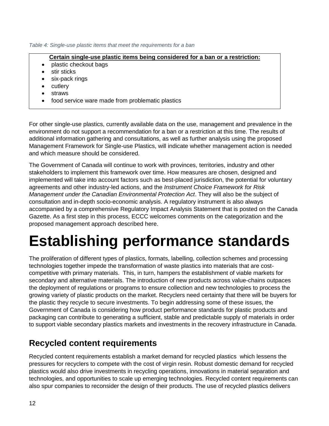#### *Table 4: Single-use plastic items that meet the requirements for a ban*

#### **Certain single-use plastic items being considered for a ban or a restriction:**

- plastic checkout bags
- stir sticks
- six-pack rings
- cutlery
- straws
- food service ware made from problematic plastics

For other single-use plastics, currently available data on the use, management and prevalence in the environment do not support a recommendation for a ban or a restriction at this time. The results of additional information gathering and consultations, as well as further analysis using the proposed Management Framework for Single-use Plastics, will indicate whether management action is needed and which measure should be considered.

The Government of Canada will continue to work with provinces, territories, industry and other stakeholders to implement this framework over time. How measures are chosen, designed and implemented will take into account factors such as best-placed jurisdiction, the potential for voluntary agreements and other industry-led actions, and the *Instrument Choice Framework for Risk Management under the Canadian Environmental Protection Act*. They will also be the subject of consultation and in-depth socio-economic analysis. A regulatory instrument is also always accompanied by a comprehensive Regulatory Impact Analysis Statement that is posted on the Canada Gazette. As a first step in this process, ECCC welcomes comments on the categorization and the proposed management approach described here.

## <span id="page-14-0"></span>**Establishing performance standards**

The proliferation of different types of plastics, formats, labelling, collection schemes and processing technologies together impede the transformation of waste plastics into materials that are costcompetitive with primary materials. This, in turn, hampers the establishment of viable markets for secondary and alternative materials. The introduction of new products across value-chains outpaces the deployment of regulations or programs to ensure collection and new technologies to process the growing variety of plastic products on the market. Recyclers need certainty that there will be buyers for the plastic they recycle to secure investments. To begin addressing some of these issues, the Government of Canada is considering how product performance standards for plastic products and packaging can contribute to generating a sufficient, stable and predictable supply of materials in order to support viable secondary plastics markets and investments in the recovery infrastructure in Canada.

### <span id="page-14-1"></span>**Recycled content requirements**

Recycled content requirements establish a market demand for recycled plastics which lessens the pressures for recyclers to compete with the cost of virgin resin. Robust domestic demand for recycled plastics would also drive investments in recycling operations, innovations in material separation and technologies, and opportunities to scale up emerging technologies. Recycled content requirements can also spur companies to reconsider the design of their products. The use of recycled plastics delivers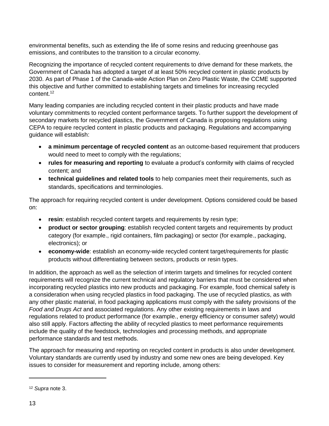environmental benefits, such as extending the life of some resins and reducing greenhouse gas emissions, and contributes to the transition to a circular economy.

Recognizing the importance of recycled content requirements to drive demand for these markets, the Government of Canada has adopted a target of at least 50% recycled content in plastic products by 2030. As part of Phase 1 of the Canada-wide Action Plan on Zero Plastic Waste, the CCME supported this objective and further committed to establishing targets and timelines for increasing recycled content.<sup>12</sup>

Many leading companies are including recycled content in their plastic products and have made voluntary commitments to recycled content performance targets. To further support the development of secondary markets for recycled plastics, the Government of Canada is proposing regulations using CEPA to require recycled content in plastic products and packaging. Regulations and accompanying guidance will establish:

- **a minimum percentage of recycled content** as an outcome-based requirement that producers would need to meet to comply with the regulations;
- **rules for measuring and reporting** to evaluate a product's conformity with claims of recycled content; and
- **technical guidelines and related tools** to help companies meet their requirements, such as standards, specifications and terminologies.

The approach for requiring recycled content is under development. Options considered could be based on:

- **resin**: establish recycled content targets and requirements by resin type;
- **product or sector grouping**: establish recycled content targets and requirements by product category (for example., rigid containers, film packaging) or sector (for example., packaging, electronics); or
- **economy-wide**: establish an economy-wide recycled content target/requirements for plastic products without differentiating between sectors, products or resin types.

In addition, the approach as well as the selection of interim targets and timelines for recycled content requirements will recognize the current technical and regulatory barriers that must be considered when incorporating recycled plastics into new products and packaging. For example, food chemical safety is a consideration when using recycled plastics in food packaging. The use of recycled plastics, as with any other plastic material, in food packaging applications must comply with the safety provisions of the *Food and Drugs Act* and associated regulations. Any other existing requirements in laws and regulations related to product performance (for example., energy efficiency or consumer safety) would also still apply. Factors affecting the ability of recycled plastics to meet performance requirements include the quality of the feedstock, technologies and processing methods, and appropriate performance standards and test methods.

The approach for measuring and reporting on recycled content in products is also under development. Voluntary standards are currently used by industry and some new ones are being developed. Key issues to consider for measurement and reporting include, among others:

<sup>12</sup> *Supra* note 3.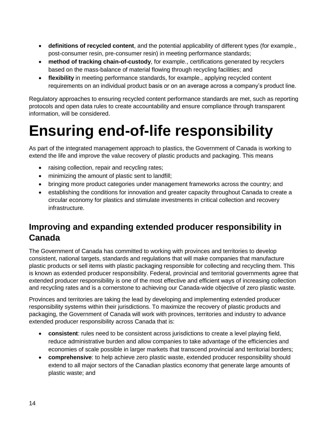- **definitions of recycled content**, and the potential applicability of different types (for example., post-consumer resin, pre-consumer resin) in meeting performance standards;
- **method of tracking chain-of-custody**, for example., certifications generated by recyclers based on the mass-balance of material flowing through recycling facilities; and
- **flexibility** in meeting performance standards, for example., applying recycled content requirements on an individual product basis or on an average across a company's product line.

Regulatory approaches to ensuring recycled content performance standards are met, such as reporting protocols and open data rules to create accountability and ensure compliance through transparent information, will be considered.

## <span id="page-16-0"></span>**Ensuring end-of-life responsibility**

As part of the integrated management approach to plastics, the Government of Canada is working to extend the life and improve the value recovery of plastic products and packaging. This means

- raising collection, repair and recycling rates;
- minimizing the amount of plastic sent to landfill;
- bringing more product categories under management frameworks across the country; and
- establishing the conditions for innovation and greater capacity throughout Canada to create a circular economy for plastics and stimulate investments in critical collection and recovery infrastructure.

## <span id="page-16-1"></span>**Improving and expanding extended producer responsibility in Canada**

The Government of Canada has committed to working with provinces and territories to develop consistent, national targets, standards and regulations that will make companies that manufacture plastic products or sell items with plastic packaging responsible for collecting and recycling them. This is known as extended producer responsibility. Federal, provincial and territorial governments agree that extended producer responsibility is one of the most effective and efficient ways of increasing collection and recycling rates and is a cornerstone to achieving our Canada-wide objective of zero plastic waste.

Provinces and territories are taking the lead by developing and implementing extended producer responsibility systems within their jurisdictions. To maximize the recovery of plastic products and packaging, the Government of Canada will work with provinces, territories and industry to advance extended producer responsibility across Canada that is:

- **consistent**: rules need to be consistent across jurisdictions to create a level playing field, reduce administrative burden and allow companies to take advantage of the efficiencies and economies of scale possible in larger markets that transcend provincial and territorial borders;
- **comprehensive**: to help achieve zero plastic waste, extended producer responsibility should extend to all major sectors of the Canadian plastics economy that generate large amounts of plastic waste; and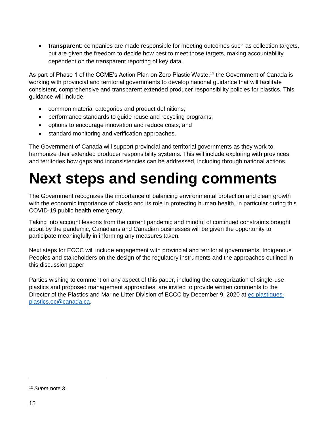**transparent**: companies are made responsible for meeting outcomes such as collection targets, but are given the freedom to decide how best to meet those targets, making accountability dependent on the transparent reporting of key data.

As part of Phase 1 of the CCME's Action Plan on Zero Plastic Waste,<sup>13</sup> the Government of Canada is working with provincial and territorial governments to develop national guidance that will facilitate consistent, comprehensive and transparent extended producer responsibility policies for plastics. This guidance will include:

- common material categories and product definitions;
- performance standards to guide reuse and recycling programs;
- options to encourage innovation and reduce costs; and
- standard monitoring and verification approaches.

The Government of Canada will support provincial and territorial governments as they work to harmonize their extended producer responsibility systems. This will include exploring with provinces and territories how gaps and inconsistencies can be addressed, including through national actions.

## <span id="page-17-0"></span>**Next steps and sending comments**

The Government recognizes the importance of balancing environmental protection and clean growth with the economic importance of plastic and its role in protecting human health, in particular during this COVID-19 public health emergency.

Taking into account lessons from the current pandemic and mindful of continued constraints brought about by the pandemic, Canadians and Canadian businesses will be given the opportunity to participate meaningfully in informing any measures taken.

Next steps for ECCC will include engagement with provincial and territorial governments, Indigenous Peoples and stakeholders on the design of the regulatory instruments and the approaches outlined in this discussion paper.

Parties wishing to comment on any aspect of this paper, including the categorization of single-use plastics and proposed management approaches, are invited to provide written comments to the Director of the Plastics and Marine Litter Division of ECCC by December 9, 2020 at [ec.plastiques](mailto:ec.plastiques-plastics.ec@canada.ca)[plastics.ec@canada.ca.](mailto:ec.plastiques-plastics.ec@canada.ca)

<sup>13</sup> *Supra* note 3.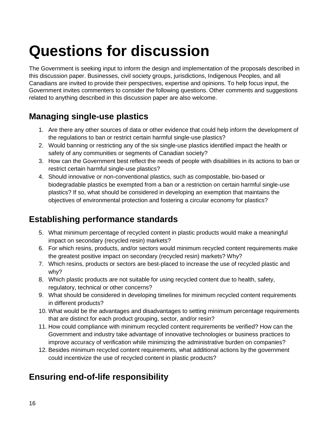## <span id="page-18-0"></span>**Questions for discussion**

The Government is seeking input to inform the design and implementation of the proposals described in this discussion paper. Businesses, civil society groups, jurisdictions, Indigenous Peoples, and all Canadians are invited to provide their perspectives, expertise and opinions. To help focus input, the Government invites commenters to consider the following questions. Other comments and suggestions related to anything described in this discussion paper are also welcome.

## <span id="page-18-1"></span>**Managing single-use plastics**

- 1. Are there any other sources of data or other evidence that could help inform the development of the regulations to ban or restrict certain harmful single-use plastics?
- 2. Would banning or restricting any of the six single-use plastics identified impact the health or safety of any communities or segments of Canadian society?
- 3. How can the Government best reflect the needs of people with disabilities in its actions to ban or restrict certain harmful single-use plastics?
- 4. Should innovative or non-conventional plastics, such as compostable, bio-based or biodegradable plastics be exempted from a ban or a restriction on certain harmful single-use plastics? If so, what should be considered in developing an exemption that maintains the objectives of environmental protection and fostering a circular economy for plastics?

## <span id="page-18-2"></span>**Establishing performance standards**

- 5. What minimum percentage of recycled content in plastic products would make a meaningful impact on secondary (recycled resin) markets?
- 6. For which resins, products, and/or sectors would minimum recycled content requirements make the greatest positive impact on secondary (recycled resin) markets? Why?
- 7. Which resins, products or sectors are best-placed to increase the use of recycled plastic and why?
- 8. Which plastic products are not suitable for using recycled content due to health, safety, regulatory, technical or other concerns?
- 9. What should be considered in developing timelines for minimum recycled content requirements in different products?
- 10. What would be the advantages and disadvantages to setting minimum percentage requirements that are distinct for each product grouping, sector, and/or resin?
- 11. How could compliance with minimum recycled content requirements be verified? How can the Government and industry take advantage of innovative technologies or business practices to improve accuracy of verification while minimizing the administrative burden on companies?
- 12. Besides minimum recycled content requirements, what additional actions by the government could incentivize the use of recycled content in plastic products?

## <span id="page-18-3"></span>**Ensuring end-of-life responsibility**